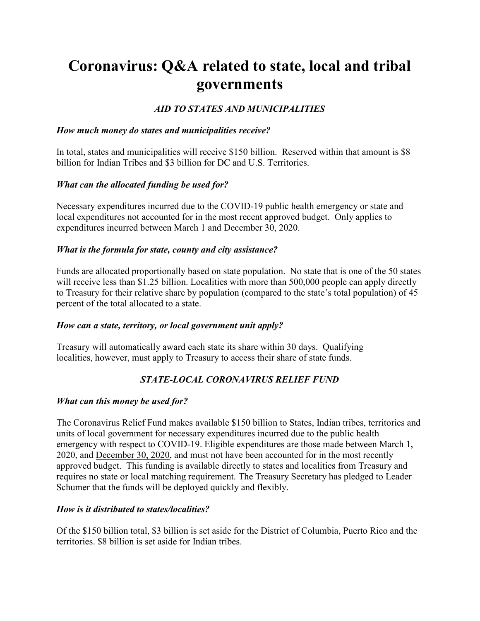# Coronavirus: Q&A related to state, local and tribal governments

## AID TO STATES AND MUNICIPALITIES

#### How much money do states and municipalities receive?

In total, states and municipalities will receive \$150 billion. Reserved within that amount is \$8 billion for Indian Tribes and \$3 billion for DC and U.S. Territories.

#### What can the allocated funding be used for?

Necessary expenditures incurred due to the COVID-19 public health emergency or state and local expenditures not accounted for in the most recent approved budget. Only applies to expenditures incurred between March 1 and December 30, 2020.

#### What is the formula for state, county and city assistance?

Funds are allocated proportionally based on state population. No state that is one of the 50 states will receive less than \$1.25 billion. Localities with more than 500,000 people can apply directly to Treasury for their relative share by population (compared to the state's total population) of 45 percent of the total allocated to a state.

## How can a state, territory, or local government unit apply?

Treasury will automatically award each state its share within 30 days. Qualifying localities, however, must apply to Treasury to access their share of state funds.

# STATE-LOCAL CORONAVIRUS RELIEF FUND

## What can this money be used for?

The Coronavirus Relief Fund makes available \$150 billion to States, Indian tribes, territories and units of local government for necessary expenditures incurred due to the public health emergency with respect to COVID-19. Eligible expenditures are those made between March 1, 2020, and December 30, 2020, and must not have been accounted for in the most recently approved budget. This funding is available directly to states and localities from Treasury and requires no state or local matching requirement. The Treasury Secretary has pledged to Leader Schumer that the funds will be deployed quickly and flexibly.

## How is it distributed to states/localities?

Of the \$150 billion total, \$3 billion is set aside for the District of Columbia, Puerto Rico and the territories. \$8 billion is set aside for Indian tribes.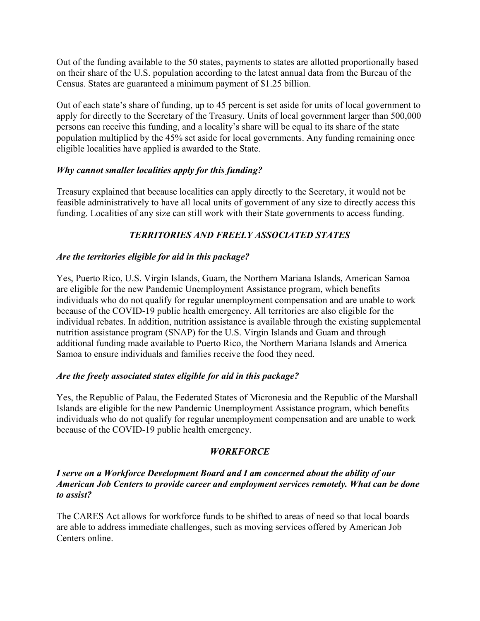Out of the funding available to the 50 states, payments to states are allotted proportionally based on their share of the U.S. population according to the latest annual data from the Bureau of the Census. States are guaranteed a minimum payment of \$1.25 billion.

Out of each state's share of funding, up to 45 percent is set aside for units of local government to apply for directly to the Secretary of the Treasury. Units of local government larger than 500,000 persons can receive this funding, and a locality's share will be equal to its share of the state population multiplied by the 45% set aside for local governments. Any funding remaining once eligible localities have applied is awarded to the State.

## Why cannot smaller localities apply for this funding?

Treasury explained that because localities can apply directly to the Secretary, it would not be feasible administratively to have all local units of government of any size to directly access this funding. Localities of any size can still work with their State governments to access funding.

# TERRITORIES AND FREELY ASSOCIATED STATES

## Are the territories eligible for aid in this package?

Yes, Puerto Rico, U.S. Virgin Islands, Guam, the Northern Mariana Islands, American Samoa are eligible for the new Pandemic Unemployment Assistance program, which benefits individuals who do not qualify for regular unemployment compensation and are unable to work because of the COVID-19 public health emergency. All territories are also eligible for the individual rebates. In addition, nutrition assistance is available through the existing supplemental nutrition assistance program (SNAP) for the U.S. Virgin Islands and Guam and through additional funding made available to Puerto Rico, the Northern Mariana Islands and America Samoa to ensure individuals and families receive the food they need.

## Are the freely associated states eligible for aid in this package?

Yes, the Republic of Palau, the Federated States of Micronesia and the Republic of the Marshall Islands are eligible for the new Pandemic Unemployment Assistance program, which benefits individuals who do not qualify for regular unemployment compensation and are unable to work because of the COVID-19 public health emergency.

# **WORKFORCE**

#### I serve on a Workforce Development Board and I am concerned about the ability of our American Job Centers to provide career and employment services remotely. What can be done to assist?

The CARES Act allows for workforce funds to be shifted to areas of need so that local boards are able to address immediate challenges, such as moving services offered by American Job Centers online.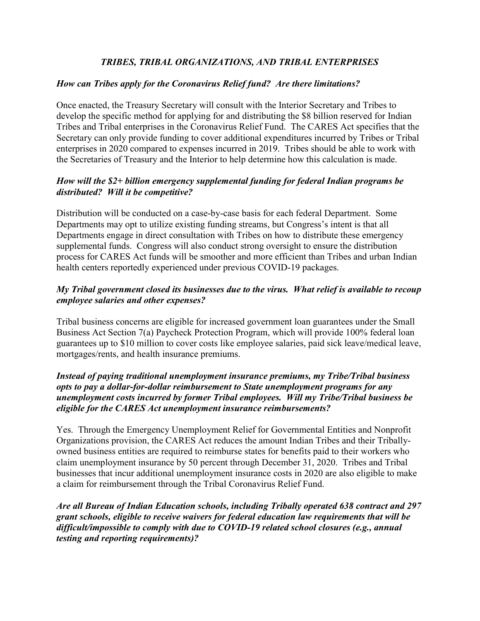## TRIBES, TRIBAL ORGANIZATIONS, AND TRIBAL ENTERPRISES

## How can Tribes apply for the Coronavirus Relief fund? Are there limitations?

Once enacted, the Treasury Secretary will consult with the Interior Secretary and Tribes to develop the specific method for applying for and distributing the \$8 billion reserved for Indian Tribes and Tribal enterprises in the Coronavirus Relief Fund. The CARES Act specifies that the Secretary can only provide funding to cover additional expenditures incurred by Tribes or Tribal enterprises in 2020 compared to expenses incurred in 2019. Tribes should be able to work with the Secretaries of Treasury and the Interior to help determine how this calculation is made.

## How will the \$2+ billion emergency supplemental funding for federal Indian programs be distributed? Will it be competitive?

Distribution will be conducted on a case-by-case basis for each federal Department. Some Departments may opt to utilize existing funding streams, but Congress's intent is that all Departments engage in direct consultation with Tribes on how to distribute these emergency supplemental funds. Congress will also conduct strong oversight to ensure the distribution process for CARES Act funds will be smoother and more efficient than Tribes and urban Indian health centers reportedly experienced under previous COVID-19 packages.

## My Tribal government closed its businesses due to the virus. What relief is available to recoup employee salaries and other expenses?

Tribal business concerns are eligible for increased government loan guarantees under the Small Business Act Section 7(a) Paycheck Protection Program, which will provide 100% federal loan guarantees up to \$10 million to cover costs like employee salaries, paid sick leave/medical leave, mortgages/rents, and health insurance premiums.

## Instead of paying traditional unemployment insurance premiums, my Tribe/Tribal business opts to pay a dollar-for-dollar reimbursement to State unemployment programs for any unemployment costs incurred by former Tribal employees. Will my Tribe/Tribal business be eligible for the CARES Act unemployment insurance reimbursements?

Yes. Through the Emergency Unemployment Relief for Governmental Entities and Nonprofit Organizations provision, the CARES Act reduces the amount Indian Tribes and their Triballyowned business entities are required to reimburse states for benefits paid to their workers who claim unemployment insurance by 50 percent through December 31, 2020. Tribes and Tribal businesses that incur additional unemployment insurance costs in 2020 are also eligible to make a claim for reimbursement through the Tribal Coronavirus Relief Fund.

Are all Bureau of Indian Education schools, including Tribally operated 638 contract and 297 grant schools, eligible to receive waivers for federal education law requirements that will be difficult/impossible to comply with due to COVID-19 related school closures (e.g., annual testing and reporting requirements)?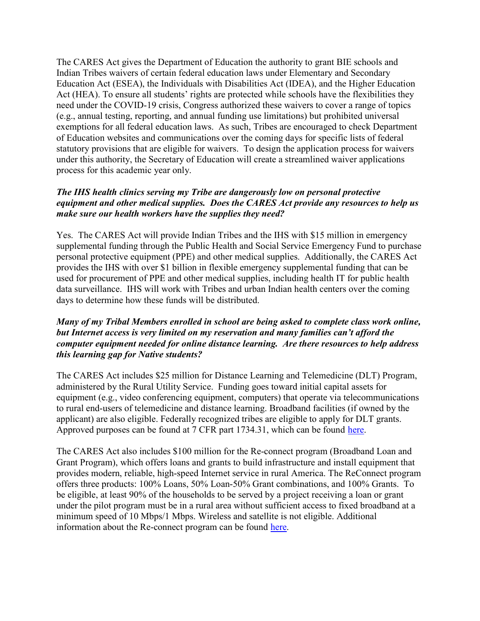The CARES Act gives the Department of Education the authority to grant BIE schools and Indian Tribes waivers of certain federal education laws under Elementary and Secondary Education Act (ESEA), the Individuals with Disabilities Act (IDEA), and the Higher Education Act (HEA). To ensure all students' rights are protected while schools have the flexibilities they need under the COVID-19 crisis, Congress authorized these waivers to cover a range of topics (e.g., annual testing, reporting, and annual funding use limitations) but prohibited universal exemptions for all federal education laws. As such, Tribes are encouraged to check Department of Education websites and communications over the coming days for specific lists of federal statutory provisions that are eligible for waivers. To design the application process for waivers under this authority, the Secretary of Education will create a streamlined waiver applications process for this academic year only.

#### The IHS health clinics serving my Tribe are dangerously low on personal protective equipment and other medical supplies. Does the CARES Act provide any resources to help us make sure our health workers have the supplies they need?

Yes. The CARES Act will provide Indian Tribes and the IHS with \$15 million in emergency supplemental funding through the Public Health and Social Service Emergency Fund to purchase personal protective equipment (PPE) and other medical supplies. Additionally, the CARES Act provides the IHS with over \$1 billion in flexible emergency supplemental funding that can be used for procurement of PPE and other medical supplies, including health IT for public health data surveillance. IHS will work with Tribes and urban Indian health centers over the coming days to determine how these funds will be distributed.

## Many of my Tribal Members enrolled in school are being asked to complete class work online, but Internet access is very limited on my reservation and many families can't afford the computer equipment needed for online distance learning. Are there resources to help address this learning gap for Native students?

The CARES Act includes \$25 million for Distance Learning and Telemedicine (DLT) Program, administered by the Rural Utility Service. Funding goes toward initial capital assets for equipment (e.g., video conferencing equipment, computers) that operate via telecommunications to rural end-users of telemedicine and distance learning. Broadband facilities (if owned by the applicant) are also eligible. Federally recognized tribes are eligible to apply for DLT grants. Approved purposes can be found at 7 CFR part 1734.31, which can be found here.

The CARES Act also includes \$100 million for the Re-connect program (Broadband Loan and Grant Program), which offers loans and grants to build infrastructure and install equipment that provides modern, reliable, high-speed Internet service in rural America. The ReConnect program offers three products: 100% Loans, 50% Loan-50% Grant combinations, and 100% Grants. To be eligible, at least 90% of the households to be served by a project receiving a loan or grant under the pilot program must be in a rural area without sufficient access to fixed broadband at a minimum speed of 10 Mbps/1 Mbps. Wireless and satellite is not eligible. Additional information about the Re-connect program can be found here.